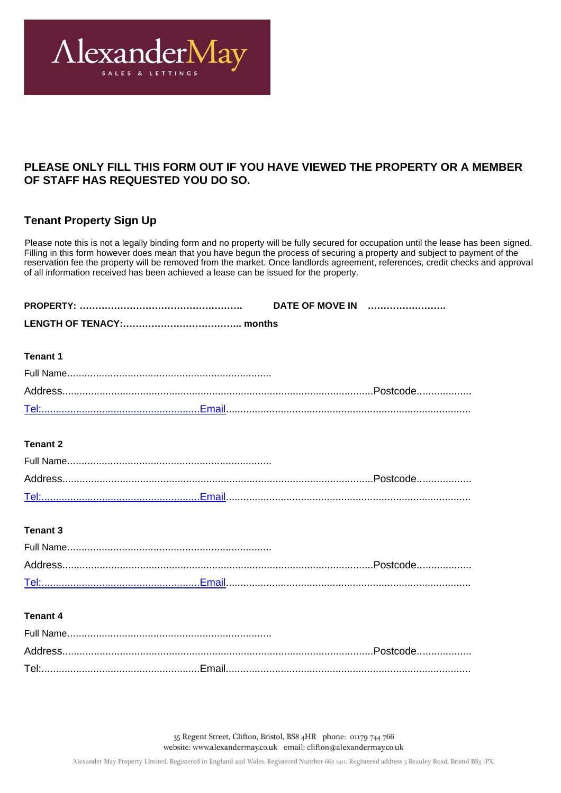

# **PLEASE ONLY FILL THIS FORM OUT IF YOU HAVE VIEWED THE PROPERTY OR A MEMBER OF STAFF HAS REQUESTED YOU DO SO.**

# **Tenant Property Sign Up**

Please note this is not a legally binding form and no property will be fully secured for occupation until the lease has been signed. Filling in this form however does mean that you have begun the process of securing a property and subject to payment of the reservation fee the property will be removed from the market. Once landlords agreement, references, credit checks and approval of all information received has been achieved a lease can be issued for the property.

| <b>Tenant 1</b> |  |
|-----------------|--|
|                 |  |
|                 |  |
|                 |  |
| <b>Tenant 2</b> |  |
|                 |  |
|                 |  |
|                 |  |
|                 |  |
| <b>Tenant 3</b> |  |
|                 |  |
|                 |  |
|                 |  |
| <b>Tenant 4</b> |  |
|                 |  |
|                 |  |
|                 |  |

35 Regent Street, Clifton, Bristol, BS8 4HR phone: 01179 744 766 website: www.alexandermay.co.uk email: clifton@alexandermay.co.uk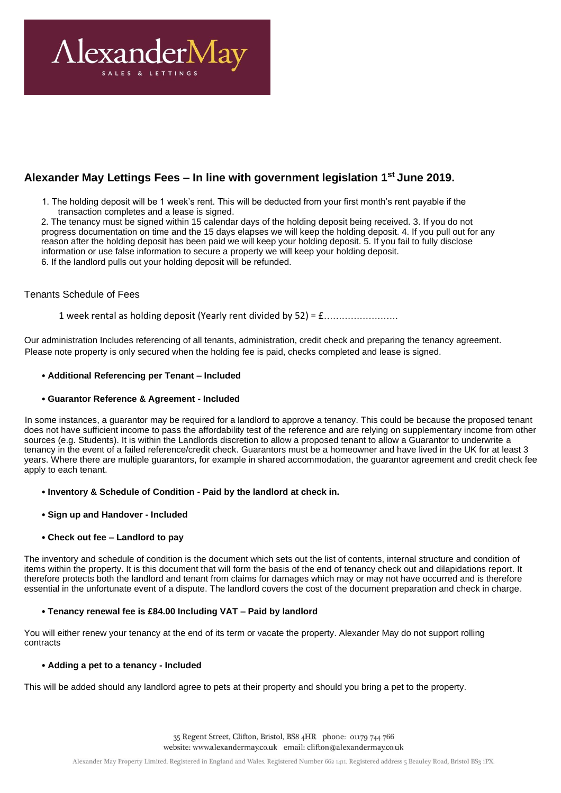

# **Alexander May Lettings Fees – In line with government legislation 1st June 2019.**

1. The holding deposit will be 1 week's rent. This will be deducted from your first month's rent payable if the transaction completes and a lease is signed.

2. The tenancy must be signed within 15 calendar days of the holding deposit being received. 3. If you do not progress documentation on time and the 15 days elapses we will keep the holding deposit. 4. If you pull out for any reason after the holding deposit has been paid we will keep your holding deposit. 5. If you fail to fully disclose information or use false information to secure a property we will keep your holding deposit. 6. If the landlord pulls out your holding deposit will be refunded.

## Tenants Schedule of Fees

1 week rental as holding deposit (Yearly rent divided by 52) = £…………………….

Our administration Includes referencing of all tenants, administration, credit check and preparing the tenancy agreement. Please note property is only secured when the holding fee is paid, checks completed and lease is signed.

## • **Additional Referencing per Tenant – Included**

## • **Guarantor Reference & Agreement - Included**

In some instances, a guarantor may be required for a landlord to approve a tenancy. This could be because the proposed tenant does not have sufficient income to pass the affordability test of the reference and are relying on supplementary income from other sources (e.g. Students). It is within the Landlords discretion to allow a proposed tenant to allow a Guarantor to underwrite a tenancy in the event of a failed reference/credit check. Guarantors must be a homeowner and have lived in the UK for at least 3 years. Where there are multiple guarantors, for example in shared accommodation, the guarantor agreement and credit check fee apply to each tenant.

## • **Inventory & Schedule of Condition - Paid by the landlord at check in.**

#### • **Sign up and Handover - Included**

## • **Check out fee – Landlord to pay**

The inventory and schedule of condition is the document which sets out the list of contents, internal structure and condition of items within the property. It is this document that will form the basis of the end of tenancy check out and dilapidations report. It therefore protects both the landlord and tenant from claims for damages which may or may not have occurred and is therefore essential in the unfortunate event of a dispute. The landlord covers the cost of the document preparation and check in charge.

#### • **Tenancy renewal fee is £84.00 Including VAT – Paid by landlord**

You will either renew your tenancy at the end of its term or vacate the property. Alexander May do not support rolling contracts

## • **Adding a pet to a tenancy - Included**

This will be added should any landlord agree to pets at their property and should you bring a pet to the property.

35 Regent Street, Clifton, Bristol, BS8 4HR phone: 01179 744 766 website: www.alexandermay.co.uk email: clifton@alexandermay.co.uk